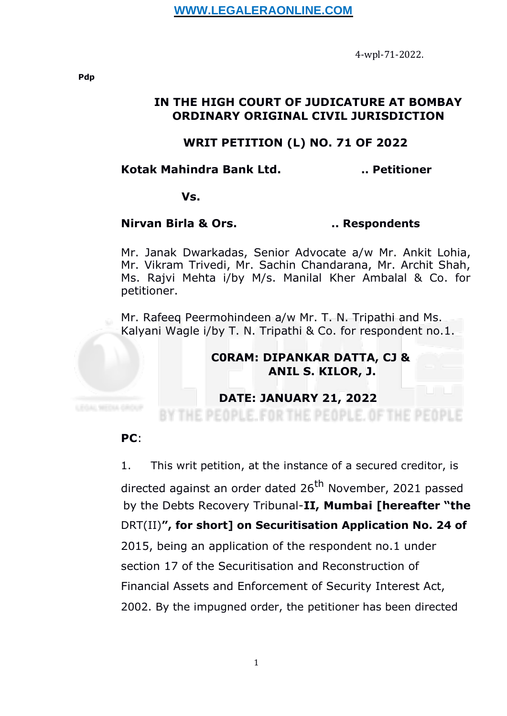4-wpl-71-2022.

### **IN THE HIGH COURT OF JUDICATURE AT BOMBAY ORDINARY ORIGINAL CIVIL JURISDICTION**

## **WRIT PETITION (L) NO. 71 OF 2022**

#### **Kotak Mahindra Bank Ltd. .. Petitioner**

**Vs.**

### **Nirvan Birla & Ors. .. Respondents**

Mr. Janak Dwarkadas, Senior Advocate a/w Mr. Ankit Lohia, Mr. Vikram Trivedi, Mr. Sachin Chandarana, Mr. Archit Shah, Ms. Rajvi Mehta i/by M/s. Manilal Kher Ambalal & Co. for petitioner.

Mr. Rafeeq Peermohindeen a/w Mr. T. N. Tripathi and Ms. Kalyani Wagle i/by T. N. Tripathi & Co. for respondent no.1.

# **C0RAM: DIPANKAR DATTA, CJ & ANIL S. KILOR, J.**

### **DATE: JANUARY 21, 2022**

BY THE PEOPLE. FOR THE PEOPLE. OF THE PEOPL

# **PC**:

1. This writ petition, at the instance of a secured creditor, is

directed against an order dated 26<sup>th</sup> November, 2021 passed by the Debts Recovery Tribunal-**II, Mumbai [hereafter "the** DRT(II)**", for short] on Securitisation Application No. 24 of** 2015, being an application of the respondent no.1 under section 17 of the Securitisation and Reconstruction of Financial Assets and Enforcement of Security Interest Act, 2002. By the impugned order, the petitioner has been directed

**Pdp**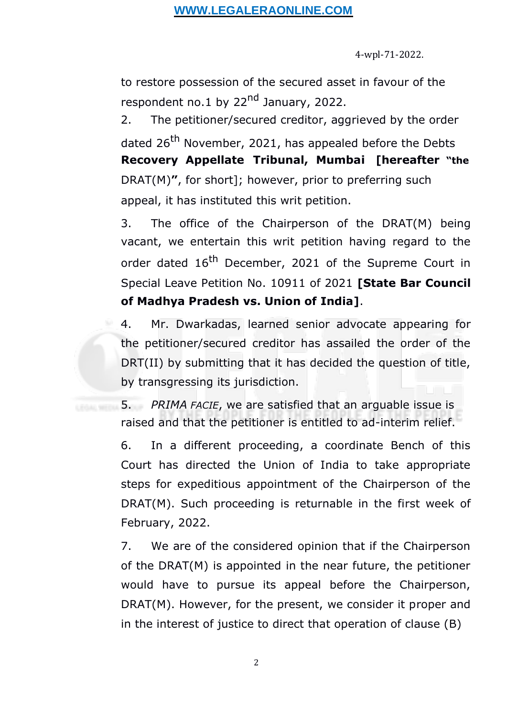# **WWW.LEGALERAONLINE.COM**

4-wpl-71-2022.

to restore possession of the secured asset in favour of the respondent no.1 by 22<sup>nd</sup> January, 2022.

2. The petitioner/secured creditor, aggrieved by the order dated 26<sup>th</sup> November, 2021, has appealed before the Debts **Recovery Appellate Tribunal, Mumbai [hereafter "the** DRAT(M)**"**, for short]; however, prior to preferring such appeal, it has instituted this writ petition.

3. The office of the Chairperson of the DRAT(M) being vacant, we entertain this writ petition having regard to the order dated 16<sup>th</sup> December, 2021 of the Supreme Court in Special Leave Petition No. 10911 of 2021 **[State Bar Council of Madhya Pradesh vs. Union of India]**.

4. Mr. Dwarkadas, learned senior advocate appearing for the petitioner/secured creditor has assailed the order of the DRT(II) by submitting that it has decided the question of title, by transgressing its jurisdiction.

5. *PRIMA FACIE*, we are satisfied that an arguable issue is raised and that the petitioner is entitled to ad-interim relief.

6. In a different proceeding, a coordinate Bench of this Court has directed the Union of India to take appropriate steps for expeditious appointment of the Chairperson of the DRAT(M). Such proceeding is returnable in the first week of February, 2022.

7. We are of the considered opinion that if the Chairperson of the DRAT(M) is appointed in the near future, the petitioner would have to pursue its appeal before the Chairperson, DRAT(M). However, for the present, we consider it proper and in the interest of justice to direct that operation of clause (B)